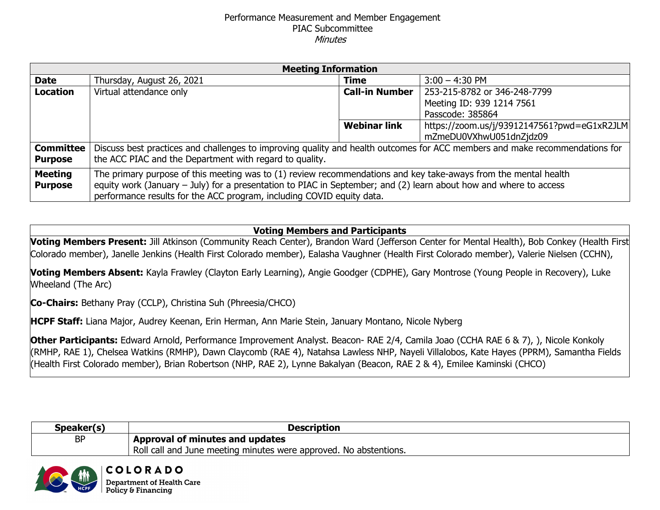## Performance Measurement and Member Engagement PIAC Subcommittee **Minutes**

| <b>Meeting Information</b> |                                                                                                                             |                       |                                             |  |
|----------------------------|-----------------------------------------------------------------------------------------------------------------------------|-----------------------|---------------------------------------------|--|
| <b>Date</b>                | Thursday, August 26, 2021                                                                                                   | <b>Time</b>           | $3:00 - 4:30$ PM                            |  |
| <b>Location</b>            | Virtual attendance only                                                                                                     | <b>Call-in Number</b> | 253-215-8782 or 346-248-7799                |  |
|                            |                                                                                                                             |                       | Meeting ID: 939 1214 7561                   |  |
|                            |                                                                                                                             |                       | Passcode: 385864                            |  |
|                            |                                                                                                                             | <b>Webinar link</b>   | https://zoom.us/j/93912147561?pwd=eG1xR2JLM |  |
|                            |                                                                                                                             |                       | mZmeDU0VXhwU051dnZjdz09                     |  |
| <b>Committee</b>           | Discuss best practices and challenges to improving quality and health outcomes for ACC members and make recommendations for |                       |                                             |  |
| <b>Purpose</b>             | the ACC PIAC and the Department with regard to quality.                                                                     |                       |                                             |  |
| <b>Meeting</b>             | The primary purpose of this meeting was to (1) review recommendations and key take-aways from the mental health             |                       |                                             |  |
| <b>Purpose</b>             | equity work (January - July) for a presentation to PIAC in September; and (2) learn about how and where to access           |                       |                                             |  |
|                            | performance results for the ACC program, including COVID equity data.                                                       |                       |                                             |  |

## **Voting Members and Participants**

**Voting Members Present:** Jill Atkinson (Community Reach Center), Brandon Ward (Jefferson Center for Mental Health), Bob Conkey (Health First Colorado member), Janelle Jenkins (Health First Colorado member), Ealasha Vaughner (Health First Colorado member), Valerie Nielsen (CCHN),

**Voting Members Absent:** Kayla Frawley (Clayton Early Learning), Angie Goodger (CDPHE), Gary Montrose (Young People in Recovery), Luke Wheeland (The Arc)

**Co-Chairs:** Bethany Pray (CCLP), Christina Suh (Phreesia/CHCO)

**HCPF Staff:** Liana Major, Audrey Keenan, Erin Herman, Ann Marie Stein, January Montano, Nicole Nyberg

**Other Participants:** Edward Arnold, Performance Improvement Analyst. Beacon- RAE 2/4, Camila Joao (CCHA RAE 6 & 7), ), Nicole Konkoly (RMHP, RAE 1), Chelsea Watkins (RMHP), Dawn Claycomb (RAE 4), Natahsa Lawless NHP, Nayeli Villalobos, Kate Hayes (PPRM), Samantha Fields (Health First Colorado member), Brian Robertson (NHP, RAE 2), Lynne Bakalyan (Beacon, RAE 2 & 4), Emilee Kaminski (CHCO)

| Speaker(s) | <b>Description</b>                                                |
|------------|-------------------------------------------------------------------|
| BP         | Approval of minutes and updates                                   |
|            | Roll call and June meeting minutes were approved. No abstentions. |

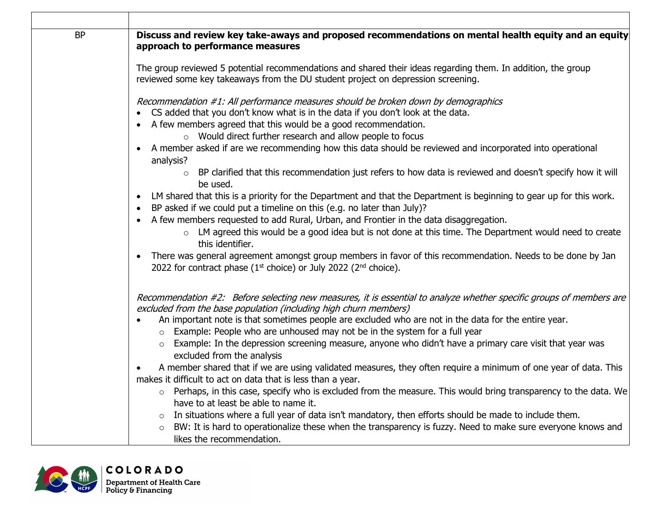| <b>BP</b> | Discuss and review key take-aways and proposed recommendations on mental health equity and an equity<br>approach to performance measures                                                                                                                                                                                                                                                                                                                                                                                                                                                                                                                                                                                                                                                                                                                                                                                                                                                                                                                                                                 |
|-----------|----------------------------------------------------------------------------------------------------------------------------------------------------------------------------------------------------------------------------------------------------------------------------------------------------------------------------------------------------------------------------------------------------------------------------------------------------------------------------------------------------------------------------------------------------------------------------------------------------------------------------------------------------------------------------------------------------------------------------------------------------------------------------------------------------------------------------------------------------------------------------------------------------------------------------------------------------------------------------------------------------------------------------------------------------------------------------------------------------------|
|           | The group reviewed 5 potential recommendations and shared their ideas regarding them. In addition, the group<br>reviewed some key takeaways from the DU student project on depression screening.                                                                                                                                                                                                                                                                                                                                                                                                                                                                                                                                                                                                                                                                                                                                                                                                                                                                                                         |
|           | Recommendation #1: All performance measures should be broken down by demographics<br>• CS added that you don't know what is in the data if you don't look at the data.<br>• A few members agreed that this would be a good recommendation.<br>o Would direct further research and allow people to focus<br>• A member asked if are we recommending how this data should be reviewed and incorporated into operational<br>analysis?<br>o BP clarified that this recommendation just refers to how data is reviewed and doesn't specify how it will<br>be used.<br>• LM shared that this is a priority for the Department and that the Department is beginning to gear up for this work.<br>BP asked if we could put a timeline on this (e.g. no later than July)?<br>• A few members requested to add Rural, Urban, and Frontier in the data disaggregation.<br>○ LM agreed this would be a good idea but is not done at this time. The Department would need to create<br>this identifier.<br>There was general agreement amongst group members in favor of this recommendation. Needs to be done by Jan |
|           | 2022 for contract phase ( $1st$ choice) or July 2022 ( $2nd$ choice).<br>Recommendation #2: Before selecting new measures, it is essential to analyze whether specific groups of members are                                                                                                                                                                                                                                                                                                                                                                                                                                                                                                                                                                                                                                                                                                                                                                                                                                                                                                             |
|           | excluded from the base population (including high churn members)<br>An important note is that sometimes people are excluded who are not in the data for the entire year.<br>$\circ$ Example: People who are unhoused may not be in the system for a full year<br>o Example: In the depression screening measure, anyone who didn't have a primary care visit that year was<br>excluded from the analysis                                                                                                                                                                                                                                                                                                                                                                                                                                                                                                                                                                                                                                                                                                 |
|           | A member shared that if we are using validated measures, they often require a minimum of one year of data. This<br>makes it difficult to act on data that is less than a year.<br>o Perhaps, in this case, specify who is excluded from the measure. This would bring transparency to the data. We<br>have to at least be able to name it.<br>$\circ$ In situations where a full year of data isn't mandatory, then efforts should be made to include them.<br>BW: It is hard to operationalize these when the transparency is fuzzy. Need to make sure everyone knows and<br>likes the recommendation.                                                                                                                                                                                                                                                                                                                                                                                                                                                                                                  |

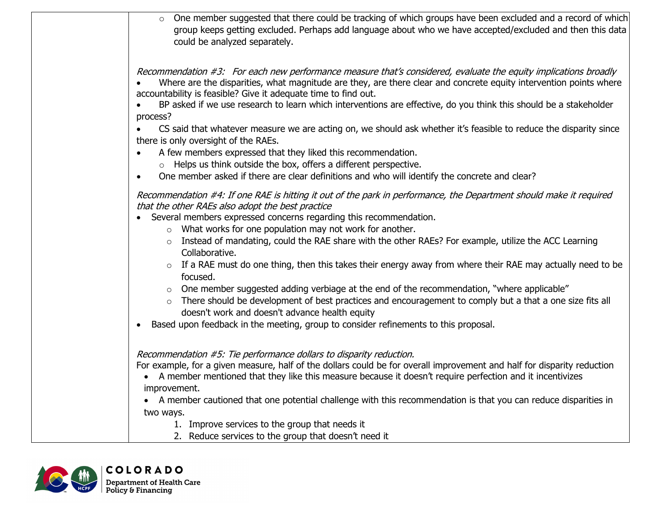| One member suggested that there could be tracking of which groups have been excluded and a record of which<br>group keeps getting excluded. Perhaps add language about who we have accepted/excluded and then this data<br>could be analyzed separately.                                               |
|--------------------------------------------------------------------------------------------------------------------------------------------------------------------------------------------------------------------------------------------------------------------------------------------------------|
| Recommendation #3: For each new performance measure that's considered, evaluate the equity implications broadly<br>Where are the disparities, what magnitude are they, are there clear and concrete equity intervention points where<br>accountability is feasible? Give it adequate time to find out. |
| BP asked if we use research to learn which interventions are effective, do you think this should be a stakeholder<br>process?                                                                                                                                                                          |
| CS said that whatever measure we are acting on, we should ask whether it's feasible to reduce the disparity since<br>there is only oversight of the RAEs.                                                                                                                                              |
| A few members expressed that they liked this recommendation.<br>$\circ$ Helps us think outside the box, offers a different perspective.                                                                                                                                                                |
| One member asked if there are clear definitions and who will identify the concrete and clear?<br>$\bullet$                                                                                                                                                                                             |
| Recommendation #4: If one RAE is hitting it out of the park in performance, the Department should make it required<br>that the other RAEs also adopt the best practice<br>Several members expressed concerns regarding this recommendation.                                                            |
| What works for one population may not work for another.<br>$\circ$<br>Instead of mandating, could the RAE share with the other RAEs? For example, utilize the ACC Learning<br>Collaborative.                                                                                                           |
| If a RAE must do one thing, then this takes their energy away from where their RAE may actually need to be<br>focused.                                                                                                                                                                                 |
| One member suggested adding verbiage at the end of the recommendation, "where applicable"<br>There should be development of best practices and encouragement to comply but a that a one size fits all<br>$\circ$<br>doesn't work and doesn't advance health equity                                     |
| Based upon feedback in the meeting, group to consider refinements to this proposal.                                                                                                                                                                                                                    |
| Recommendation #5: Tie performance dollars to disparity reduction.                                                                                                                                                                                                                                     |
| For example, for a given measure, half of the dollars could be for overall improvement and half for disparity reduction<br>A member mentioned that they like this measure because it doesn't require perfection and it incentivizes<br>improvement.                                                    |
| • A member cautioned that one potential challenge with this recommendation is that you can reduce disparities in                                                                                                                                                                                       |
| two ways.                                                                                                                                                                                                                                                                                              |
| 1. Improve services to the group that needs it                                                                                                                                                                                                                                                         |
| 2. Reduce services to the group that doesn't need it                                                                                                                                                                                                                                                   |

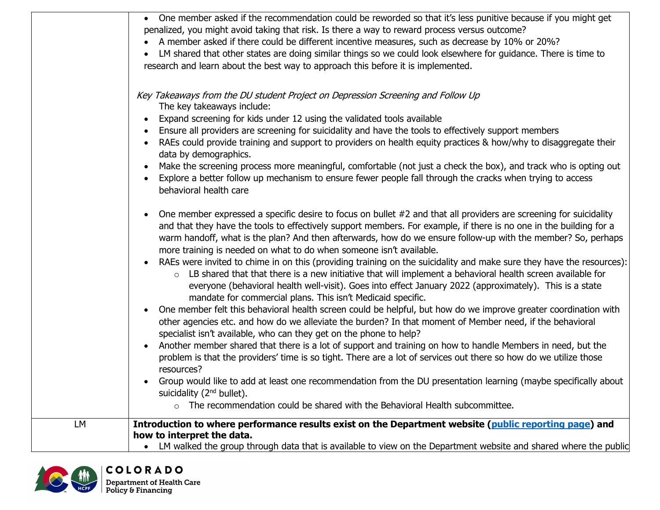|    | • One member asked if the recommendation could be reworded so that it's less punitive because if you might get        |
|----|-----------------------------------------------------------------------------------------------------------------------|
|    | penalized, you might avoid taking that risk. Is there a way to reward process versus outcome?                         |
|    | A member asked if there could be different incentive measures, such as decrease by 10% or 20%?                        |
|    | LM shared that other states are doing similar things so we could look elsewhere for guidance. There is time to        |
|    | research and learn about the best way to approach this before it is implemented.                                      |
|    |                                                                                                                       |
|    | Key Takeaways from the DU student Project on Depression Screening and Follow Up                                       |
|    | The key takeaways include:                                                                                            |
|    | Expand screening for kids under 12 using the validated tools available                                                |
|    | Ensure all providers are screening for suicidality and have the tools to effectively support members                  |
|    | RAEs could provide training and support to providers on health equity practices & how/why to disaggregate their       |
|    | data by demographics.                                                                                                 |
|    | Make the screening process more meaningful, comfortable (not just a check the box), and track who is opting out       |
|    | Explore a better follow up mechanism to ensure fewer people fall through the cracks when trying to access             |
|    | behavioral health care                                                                                                |
|    |                                                                                                                       |
|    | One member expressed a specific desire to focus on bullet #2 and that all providers are screening for suicidality     |
|    | and that they have the tools to effectively support members. For example, if there is no one in the building for a    |
|    | warm handoff, what is the plan? And then afterwards, how do we ensure follow-up with the member? So, perhaps          |
|    | more training is needed on what to do when someone isn't available.                                                   |
|    | RAEs were invited to chime in on this (providing training on the suicidality and make sure they have the resources):  |
|    | LB shared that that there is a new initiative that will implement a behavioral health screen available for<br>$\circ$ |
|    | everyone (behavioral health well-visit). Goes into effect January 2022 (approximately). This is a state               |
|    | mandate for commercial plans. This isn't Medicaid specific.                                                           |
|    | One member felt this behavioral health screen could be helpful, but how do we improve greater coordination with       |
|    | other agencies etc. and how do we alleviate the burden? In that moment of Member need, if the behavioral              |
|    | specialist isn't available, who can they get on the phone to help?                                                    |
|    | Another member shared that there is a lot of support and training on how to handle Members in need, but the           |
|    | problem is that the providers' time is so tight. There are a lot of services out there so how do we utilize those     |
|    | resources?                                                                                                            |
|    | Group would like to add at least one recommendation from the DU presentation learning (maybe specifically about       |
|    | suicidality (2 <sup>nd</sup> bullet).                                                                                 |
|    | $\circ$ The recommendation could be shared with the Behavioral Health subcommittee.                                   |
| LM | Introduction to where performance results exist on the Department website (public reporting page) and                 |
|    | how to interpret the data.                                                                                            |
|    | LM walked the group through data that is available to view on the Department website and shared where the public      |

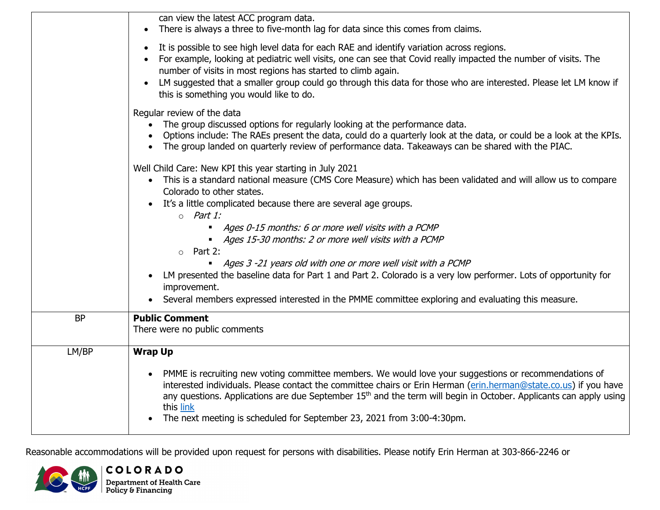|           | can view the latest ACC program data.<br>There is always a three to five-month lag for data since this comes from claims.<br>$\bullet$                                                                                                                                                                                                                                                                                                                                |
|-----------|-----------------------------------------------------------------------------------------------------------------------------------------------------------------------------------------------------------------------------------------------------------------------------------------------------------------------------------------------------------------------------------------------------------------------------------------------------------------------|
|           | It is possible to see high level data for each RAE and identify variation across regions.<br>$\bullet$<br>For example, looking at pediatric well visits, one can see that Covid really impacted the number of visits. The<br>number of visits in most regions has started to climb again.<br>LM suggested that a smaller group could go through this data for those who are interested. Please let LM know if<br>$\bullet$<br>this is something you would like to do. |
|           | Regular review of the data<br>The group discussed options for regularly looking at the performance data.<br>Options include: The RAEs present the data, could do a quarterly look at the data, or could be a look at the KPIs.<br>The group landed on quarterly review of performance data. Takeaways can be shared with the PIAC.                                                                                                                                    |
|           | Well Child Care: New KPI this year starting in July 2021<br>This is a standard national measure (CMS Core Measure) which has been validated and will allow us to compare<br>$\bullet$<br>Colorado to other states.<br>• It's a little complicated because there are several age groups.<br>$\circ$ Part 1:                                                                                                                                                            |
|           | Ages 0-15 months: 6 or more well visits with a PCMP<br>$\blacksquare$<br>• Ages 15-30 months: 2 or more well visits with a PCMP<br>Part 2:<br>$\circ$                                                                                                                                                                                                                                                                                                                 |
|           | Ages 3 -21 years old with one or more well visit with a PCMP<br>LM presented the baseline data for Part 1 and Part 2. Colorado is a very low performer. Lots of opportunity for<br>improvement.<br>Several members expressed interested in the PMME committee exploring and evaluating this measure.                                                                                                                                                                  |
| <b>BP</b> | <b>Public Comment</b><br>There were no public comments                                                                                                                                                                                                                                                                                                                                                                                                                |
| LM/BP     | <b>Wrap Up</b><br>PMME is recruiting new voting committee members. We would love your suggestions or recommendations of<br>interested individuals. Please contact the committee chairs or Erin Herman (erin.herman@state.co.us) if you have<br>any questions. Applications are due September 15 <sup>th</sup> and the term will begin in October. Applicants can apply using<br>this link<br>The next meeting is scheduled for September 23, 2021 from 3:00-4:30pm.   |
|           |                                                                                                                                                                                                                                                                                                                                                                                                                                                                       |

Reasonable accommodations will be provided upon request for persons with disabilities. Please notify Erin Herman at 303-866-2246 or